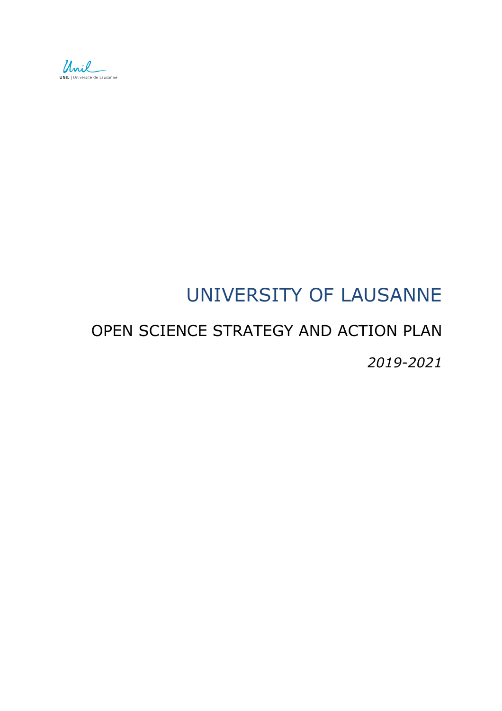

# UNIVERSITY OF LAUSANNE

# OPEN SCIENCE STRATEGY AND ACTION PLAN *2019-2021*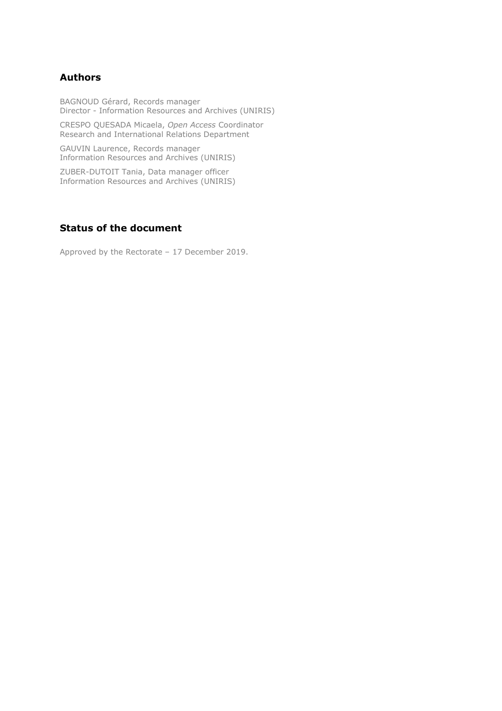#### **Authors**

BAGNOUD Gérard, Records manager Director - Information Resources and Archives (UNIRIS)

CRESPO QUESADA Micaela, *Open Access* Coordinator Research and International Relations Department

GAUVIN Laurence, Records manager Information Resources and Archives (UNIRIS)

ZUBER-DUTOIT Tania, Data manager officer Information Resources and Archives (UNIRIS)

#### **Status of the document**

Approved by the Rectorate – 17 December 2019.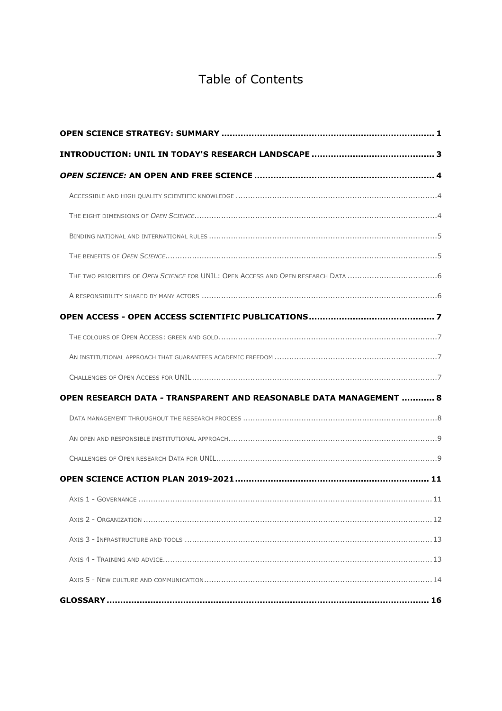# **Table of Contents**

| <b>OPEN RESEARCH DATA - TRANSPARENT AND REASONABLE DATA MANAGEMENT  8</b> |  |
|---------------------------------------------------------------------------|--|
|                                                                           |  |
|                                                                           |  |
|                                                                           |  |
|                                                                           |  |
|                                                                           |  |
|                                                                           |  |
|                                                                           |  |
|                                                                           |  |
|                                                                           |  |
|                                                                           |  |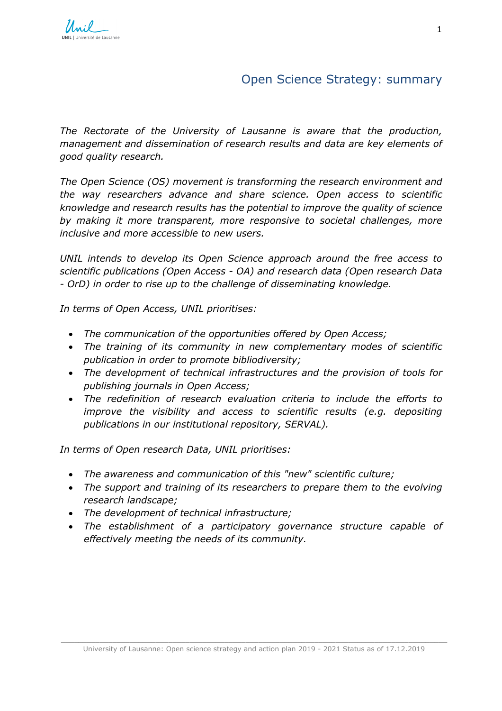# Open Science Strategy: summary

<span id="page-3-0"></span>*The Rectorate of the University of Lausanne is aware that the production, management and dissemination of research results and data are key elements of good quality research.* 

*The Open Science (OS) movement is transforming the research environment and the way researchers advance and share science. Open access to scientific knowledge and research results has the potential to improve the quality of science by making it more transparent, more responsive to societal challenges, more inclusive and more accessible to new users.*

*UNIL intends to develop its Open Science approach around the free access to scientific publications (Open Access - OA) and research data (Open research Data - OrD) in order to rise up to the challenge of disseminating knowledge.*

*In terms of Open Access, UNIL prioritises:* 

- *The communication of the opportunities offered by Open Access;*
- *The training of its community in new complementary modes of scientific publication in order to promote bibliodiversity;*
- *The development of technical infrastructures and the provision of tools for publishing journals in Open Access;*
- *The redefinition of research evaluation criteria to include the efforts to improve the visibility and access to scientific results (e.g. depositing publications in our institutional repository, SERVAL).*

*In terms of Open research Data, UNIL prioritises:* 

- *The awareness and communication of this "new" scientific culture;*
- *The support and training of its researchers to prepare them to the evolving research landscape;*
- *The development of technical infrastructure;*
- *The establishment of a participatory governance structure capable of effectively meeting the needs of its community.*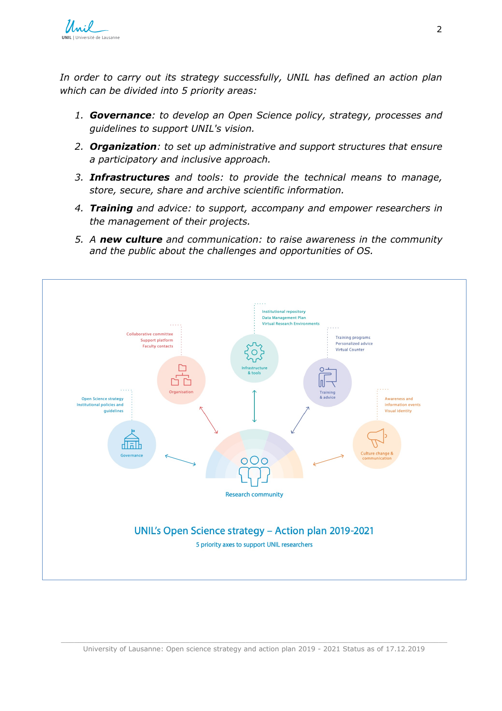

*In order to carry out its strategy successfully, UNIL has defined an action plan which can be divided into 5 priority areas:*

- *1. Governance: to develop an Open Science policy, strategy, processes and guidelines to support UNIL's vision.*
- *2. Organization: to set up administrative and support structures that ensure a participatory and inclusive approach.*
- *3. Infrastructures and tools: to provide the technical means to manage, store, secure, share and archive scientific information.*
- *4. Training and advice: to support, accompany and empower researchers in the management of their projects.*
- *5. A new culture and communication: to raise awareness in the community and the public about the challenges and opportunities of OS.*

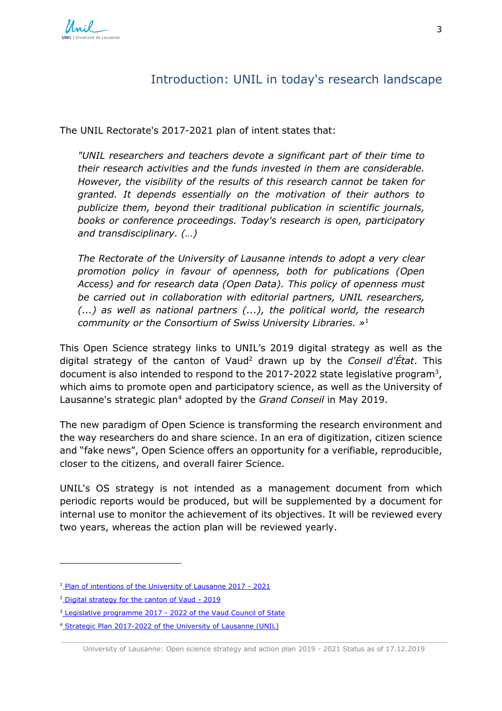# Introduction: UNIL in today's research landscape

<span id="page-5-0"></span>The UNIL Rectorate's 2017-2021 plan of intent states that:

*"UNIL researchers and teachers devote a significant part of their time to their research activities and the funds invested in them are considerable. However, the visibility of the results of this research cannot be taken for granted. It depends essentially on the motivation of their authors to publicize them, beyond their traditional publication in scientific journals, books or conference proceedings. Today's research is open, participatory and transdisciplinary. (…)*

*The Rectorate of the University of Lausanne intends to adopt a very clear promotion policy in favour of openness, both for publications (Open Access) and for research data (Open Data). This policy of openness must be carried out in collaboration with editorial partners, UNIL researchers, (...) as well as national partners (...), the political world, the research community or the Consortium of Swiss University Libraries. »*<sup>1</sup>

This Open Science strategy links to UNIL's 2019 digital strategy as well as the digital strategy of the canton of Vaud2 drawn up by the *Conseil d'État*. This document is also intended to respond to the 2017-2022 state legislative program3, which aims to promote open and participatory science, as well as the University of Lausanne's strategic plan4 adopted by the *Grand Conseil* in May 2019.

The new paradigm of Open Science is transforming the research environment and the way researchers do and share science. In an era of digitization, citizen science and "fake news", Open Science offers an opportunity for a verifiable, reproducible, closer to the citizens, and overall fairer Science.

UNIL's OS strategy is not intended as a management document from which periodic reports would be produced, but will be supplemented by a document for internal use to monitor the achievement of its objectives. It will be reviewed every two years, whereas the action plan will be reviewed yearly.

l

<sup>&</sup>lt;sup>1</sup> [Plan of intentions of the University of Lausanne 2017 - 2021](https://www.unil.ch/central/files/live/sites/central/files/docs/plan_intentions_unil_17_21.pdf)

<sup>&</sup>lt;sup>2</sup> [Digital strategy for the canton of Vaud - 2019](https://www.vd.ch/strategie-numerique/)

<sup>&</sup>lt;sup>3</sup> [Legislative programme 2017 - 2022 of the Vaud Council of State](https://www.vd.ch/toutes-les-autorites/conseil-detat/programme-de-legislature-2017-2022/)

<sup>4</sup> [Strategic Plan 2017-2022 of the University of Lausanne \(UNIL\)](https://www.vd.ch/toutes-les-autorites/departements/departement-de-la-formation-de-la-jeunesse-et-de-la-culture-dfjc/direction-generale-de-lenseignement-superieur-dges/actualites/news/plan-strategique-2017-2022-de-luniversite-de-lausanne-unil-1526559180/)

\_\_\_\_\_\_\_\_\_\_\_\_\_\_\_\_\_\_\_\_\_\_\_\_\_\_\_\_\_\_\_\_\_\_\_\_\_\_\_\_\_\_\_\_\_\_\_\_\_\_\_\_\_\_\_\_\_\_\_\_\_\_\_\_\_\_\_\_\_\_\_\_\_\_\_\_\_\_\_\_\_\_\_\_\_\_\_\_\_\_ University of Lausanne: Open science strategy and action plan 2019 - 2021 Status as of 17.12.2019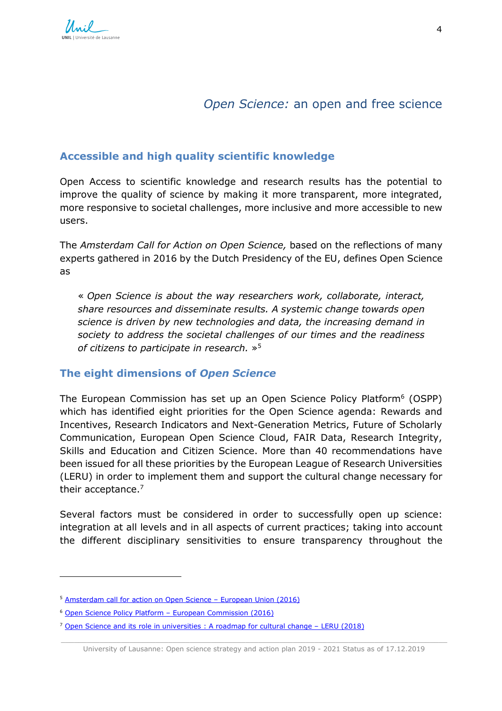# *Open Science:* an open and free science

## <span id="page-6-1"></span><span id="page-6-0"></span>**Accessible and high quality scientific knowledge**

Open Access to scientific knowledge and research results has the potential to improve the quality of science by making it more transparent, more integrated, more responsive to societal challenges, more inclusive and more accessible to new users.

The *Amsterdam Call for Action on Open Science,* based on the reflections of many experts gathered in 2016 by the Dutch Presidency of the EU, defines Open Science as

« *Open Science is about the way researchers work, collaborate, interact, share resources and disseminate results. A systemic change towards open science is driven by new technologies and data, the increasing demand in society to address the societal challenges of our times and the readiness of citizens to participate in research.* »5

## <span id="page-6-2"></span>**The eight dimensions of** *Open Science*

The European Commission has set up an Open Science Policy Platform<sup>6</sup> (OSPP) which has identified eight priorities for the Open Science agenda: Rewards and Incentives, Research Indicators and Next-Generation Metrics, Future of Scholarly Communication, European Open Science Cloud, FAIR Data, Research Integrity, Skills and Education and Citizen Science. More than 40 recommendations have been issued for all these priorities by the European League of Research Universities (LERU) in order to implement them and support the cultural change necessary for their acceptance.<sup>7</sup>

Several factors must be considered in order to successfully open up science: integration at all levels and in all aspects of current practices; taking into account the different disciplinary sensitivities to ensure transparency throughout the

1

<sup>5</sup> [Amsterdam call for action on Open Science – European Union \(2016\)](https://www.government.nl/binaries/government/documents/reports/2016/04/04/amsterdam-call-for-action-on-open-science/amsterdam-call-for-action-on-open-science.pdf)

<sup>6</sup> [Open Science Policy Platform – European Commission](https://ec.europa.eu/research/openscience/index.cfm?pg=open-science-policy-platform) (2016)

<sup>&</sup>lt;sup>7</sup> Open Science and its role in universities : A roadmap for cultural change - LERU (2018)

\_\_\_\_\_\_\_\_\_\_\_\_\_\_\_\_\_\_\_\_\_\_\_\_\_\_\_\_\_\_\_\_\_\_\_\_\_\_\_\_\_\_\_\_\_\_\_\_\_\_\_\_\_\_\_\_\_\_\_\_\_\_\_\_\_\_\_\_\_\_\_\_\_\_\_\_\_\_\_\_\_\_\_\_\_\_\_\_\_\_ University of Lausanne: Open science strategy and action plan 2019 - 2021 Status as of 17.12.2019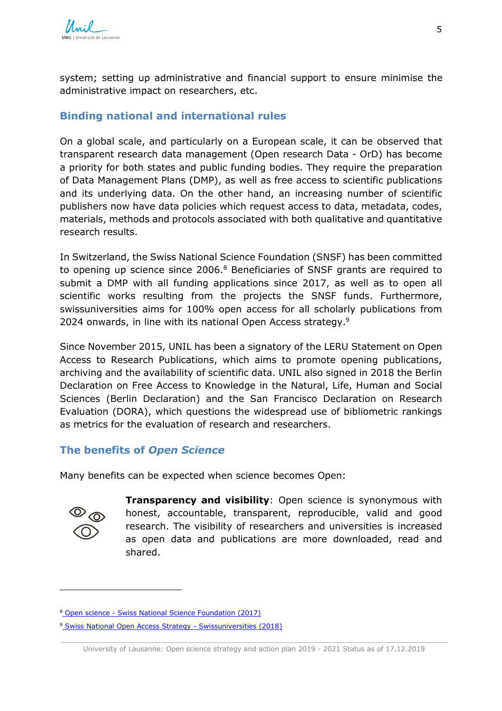system; setting up administrative and financial support to ensure minimise the administrative impact on researchers, etc.

### <span id="page-7-0"></span>**Binding national and international rules**

On a global scale, and particularly on a European scale, it can be observed that transparent research data management (Open research Data - OrD) has become a priority for both states and public funding bodies. They require the preparation of Data Management Plans (DMP), as well as free access to scientific publications and its underlying data. On the other hand, an increasing number of scientific publishers now have data policies which request access to data, metadata, codes, materials, methods and protocols associated with both qualitative and quantitative research results.

In Switzerland, the Swiss National Science Foundation (SNSF) has been committed to opening up science since 2006.<sup>8</sup> Beneficiaries of SNSF grants are required to submit a DMP with all funding applications since 2017, as well as to open all scientific works resulting from the projects the SNSF funds. Furthermore, swissuniversities aims for 100% open access for all scholarly publications from 2024 onwards, in line with its national Open Access strategy. 9

Since November 2015, UNIL has been a signatory of the LERU Statement on Open Access to Research Publications, which aims to promote opening publications, archiving and the availability of scientific data. UNIL also signed in 2018 the Berlin Declaration on Free Access to Knowledge in the Natural, Life, Human and Social Sciences (Berlin Declaration) and the San Francisco Declaration on Research Evaluation (DORA), which questions the widespread use of bibliometric rankings as metrics for the evaluation of research and researchers.

## <span id="page-7-1"></span>**The benefits of** *Open Science*

Many benefits can be expected when science becomes Open:



1

**Transparency and visibility:** Open science is synonymous with honest, accountable, transparent, reproducible, valid and good research. The visibility of researchers and universities is increased as open data and publications are more downloaded, read and shared.

<sup>8</sup> [Open science - Swiss National Science Foundation \(2017\)](http://www.snf.ch/fr/pointrecherche/dossiers/open-science/Pages/default.aspx)

<sup>&</sup>lt;sup>9</sup> [Swiss National Open Access Strategy - Swissuniversities \(2018\)](https://www.swissuniversities.ch/fr/themes/politique-des-hautes-ecoles/open-access)

\_\_\_\_\_\_\_\_\_\_\_\_\_\_\_\_\_\_\_\_\_\_\_\_\_\_\_\_\_\_\_\_\_\_\_\_\_\_\_\_\_\_\_\_\_\_\_\_\_\_\_\_\_\_\_\_\_\_\_\_\_\_\_\_\_\_\_\_\_\_\_\_\_\_\_\_\_\_\_\_\_\_\_\_\_\_\_\_\_\_ University of Lausanne: Open science strategy and action plan 2019 - 2021 Status as of 17.12.2019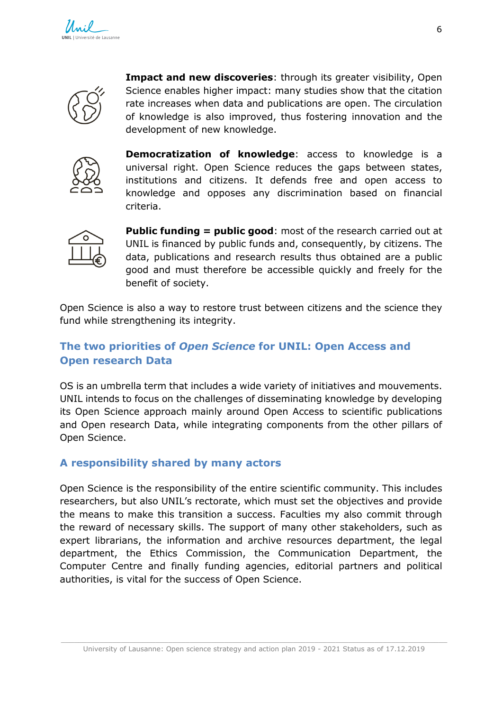

**Impact and new discoveries**: through its greater visibility, Open Science enables higher impact: many studies show that the citation rate increases when data and publications are open. The circulation of knowledge is also improved, thus fostering innovation and the development of new knowledge.



**Democratization of knowledge**: access to knowledge is a universal right. Open Science reduces the gaps between states, institutions and citizens. It defends free and open access to knowledge and opposes any discrimination based on financial criteria.



**Public funding = public good:** most of the research carried out at UNIL is financed by public funds and, consequently, by citizens. The data, publications and research results thus obtained are a public good and must therefore be accessible quickly and freely for the benefit of society.

Open Science is also a way to restore trust between citizens and the science they fund while strengthening its integrity.

## <span id="page-8-0"></span>**The two priorities of** *Open Science* **for UNIL: Open Access and Open research Data**

OS is an umbrella term that includes a wide variety of initiatives and mouvements. UNIL intends to focus on the challenges of disseminating knowledge by developing its Open Science approach mainly around Open Access to scientific publications and Open research Data, while integrating components from the other pillars of Open Science.

## <span id="page-8-1"></span>**A responsibility shared by many actors**

Open Science is the responsibility of the entire scientific community. This includes researchers, but also UNIL's rectorate, which must set the objectives and provide the means to make this transition a success. Faculties my also commit through the reward of necessary skills. The support of many other stakeholders, such as expert librarians, the information and archive resources department, the legal department, the Ethics Commission, the Communication Department, the Computer Centre and finally funding agencies, editorial partners and political authorities, is vital for the success of Open Science.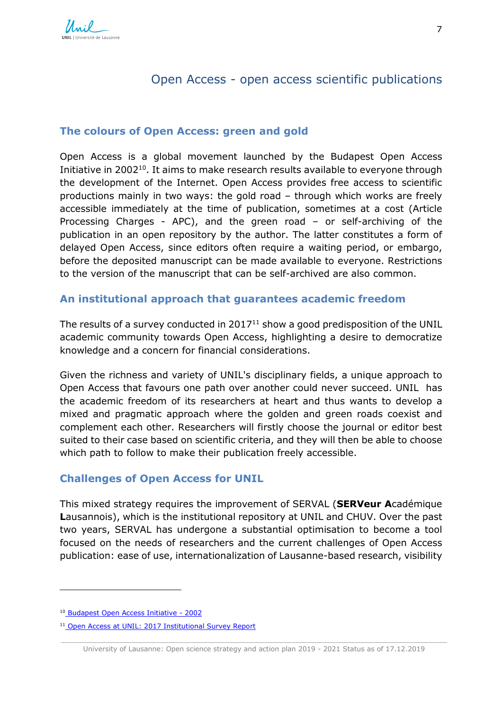# Open Access - open access scientific publications

#### <span id="page-9-1"></span><span id="page-9-0"></span>**The colours of Open Access: green and gold**

Open Access is a global movement launched by the Budapest Open Access Initiative in 2002<sup>10</sup>. It aims to make research results available to everyone through the development of the Internet. Open Access provides free access to scientific productions mainly in two ways: the gold road – through which works are freely accessible immediately at the time of publication, sometimes at a cost (Article Processing Charges - APC), and the green road – or self-archiving of the publication in an open repository by the author. The latter constitutes a form of delayed Open Access, since editors often require a waiting period, or embargo, before the deposited manuscript can be made available to everyone. Restrictions to the version of the manuscript that can be self-archived are also common.

#### <span id="page-9-2"></span>**An institutional approach that guarantees academic freedom**

The results of a survey conducted in  $2017<sup>11</sup>$  show a good predisposition of the UNIL academic community towards Open Access, highlighting a desire to democratize knowledge and a concern for financial considerations.

Given the richness and variety of UNIL's disciplinary fields, a unique approach to Open Access that favours one path over another could never succeed. UNIL has the academic freedom of its researchers at heart and thus wants to develop a mixed and pragmatic approach where the golden and green roads coexist and complement each other. Researchers will firstly choose the journal or editor best suited to their case based on scientific criteria, and they will then be able to choose which path to follow to make their publication freely accessible.

#### <span id="page-9-3"></span>**Challenges of Open Access for UNIL**

This mixed strategy requires the improvement of SERVAL (**SERVeur A**cadémique **L**ausannois), which is the institutional repository at UNIL and CHUV. Over the past two years, SERVAL has undergone a substantial optimisation to become a tool focused on the needs of researchers and the current challenges of Open Access publication: ease of use, internationalization of Lausanne-based research, visibility

1

<sup>&</sup>lt;sup>10</sup> [Budapest Open Access Initiative - 2002](https://www.budapestopenaccessinitiative.org/)

<sup>&</sup>lt;sup>11</sup> [Open Access at UNIL: 2017 Institutional Survey Report](https://my.unil.ch/secure/resource/serval:BIB_6CF16A34F7E0.P001/REF)

\_\_\_\_\_\_\_\_\_\_\_\_\_\_\_\_\_\_\_\_\_\_\_\_\_\_\_\_\_\_\_\_\_\_\_\_\_\_\_\_\_\_\_\_\_\_\_\_\_\_\_\_\_\_\_\_\_\_\_\_\_\_\_\_\_\_\_\_\_\_\_\_\_\_\_\_\_\_\_\_\_\_\_\_\_\_\_\_\_\_ University of Lausanne: Open science strategy and action plan 2019 - 2021 Status as of 17.12.2019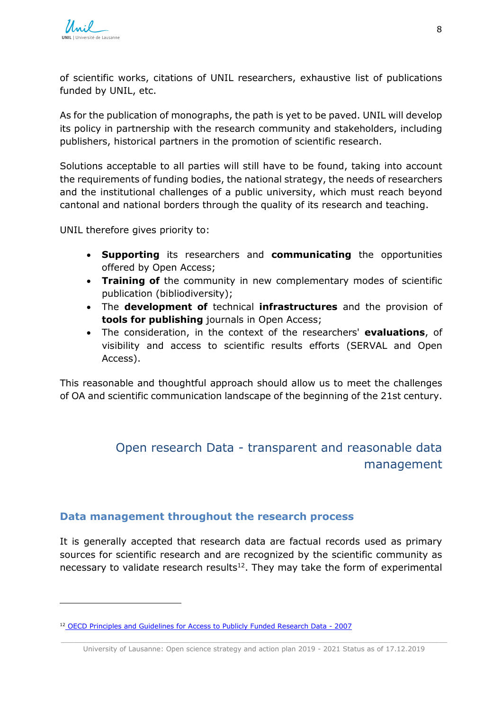1

of scientific works, citations of UNIL researchers, exhaustive list of publications funded by UNIL, etc.

As for the publication of monographs, the path is yet to be paved. UNIL will develop its policy in partnership with the research community and stakeholders, including publishers, historical partners in the promotion of scientific research.

Solutions acceptable to all parties will still have to be found, taking into account the requirements of funding bodies, the national strategy, the needs of researchers and the institutional challenges of a public university, which must reach beyond cantonal and national borders through the quality of its research and teaching.

UNIL therefore gives priority to:

- **Supporting** its researchers and **communicating** the opportunities offered by Open Access;
- **Training of** the community in new complementary modes of scientific publication (bibliodiversity);
- The **development of** technical **infrastructures** and the provision of **tools for publishing** journals in Open Access;
- The consideration, in the context of the researchers' **evaluations**, of visibility and access to scientific results efforts (SERVAL and Open Access).

This reasonable and thoughtful approach should allow us to meet the challenges of OA and scientific communication landscape of the beginning of the 21st century.

# <span id="page-10-0"></span>Open research Data *-* transparent and reasonable data management

#### <span id="page-10-1"></span>**Data management throughout the research process**

It is generally accepted that research data are factual records used as primary sources for scientific research and are recognized by the scientific community as necessary to validate research results $12$ . They may take the form of experimental

<sup>12</sup> [OECD Principles and Guidelines for Access to Publicly Funded Research Data - 2007](http://www.oecd.org/fr/sti/inno/38500823.pdf)

\_\_\_\_\_\_\_\_\_\_\_\_\_\_\_\_\_\_\_\_\_\_\_\_\_\_\_\_\_\_\_\_\_\_\_\_\_\_\_\_\_\_\_\_\_\_\_\_\_\_\_\_\_\_\_\_\_\_\_\_\_\_\_\_\_\_\_\_\_\_\_\_\_\_\_\_\_\_\_\_\_\_\_\_\_\_\_\_\_\_ University of Lausanne: Open science strategy and action plan 2019 - 2021 Status as of 17.12.2019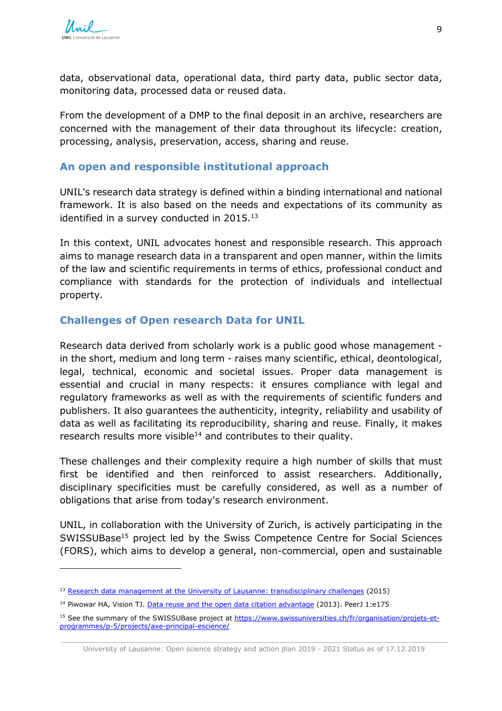l

data, observational data, operational data, third party data, public sector data, monitoring data, processed data or reused data.

From the development of a DMP to the final deposit in an archive, researchers are concerned with the management of their data throughout its lifecycle: creation, processing, analysis, preservation, access, sharing and reuse.

#### <span id="page-11-0"></span>**An open and responsible institutional approach**

UNIL's research data strategy is defined within a binding international and national framework. It is also based on the needs and expectations of its community as identified in a survey conducted in  $2015.^{13}$ 

In this context, UNIL advocates honest and responsible research. This approach aims to manage research data in a transparent and open manner, within the limits of the law and scientific requirements in terms of ethics, professional conduct and compliance with standards for the protection of individuals and intellectual property.

### <span id="page-11-1"></span>**Challenges of Open research Data for UNIL**

Research data derived from scholarly work is a public good whose management in the short, medium and long term - raises many scientific, ethical, deontological, legal, technical, economic and societal issues. Proper data management is essential and crucial in many respects: it ensures compliance with legal and regulatory frameworks as well as with the requirements of scientific funders and publishers. It also guarantees the authenticity, integrity, reliability and usability of data as well as facilitating its reproducibility, sharing and reuse. Finally, it makes research results more visible<sup>14</sup> and contributes to their quality.

These challenges and their complexity require a high number of skills that must first be identified and then reinforced to assist researchers. Additionally, disciplinary specificities must be carefully considered, as well as a number of obligations that arise from today's research environment.

UNIL, in collaboration with the University of Zurich, is actively participating in the SWISSUBase<sup>15</sup> project led by the Swiss Competence Centre for Social Sciences (FORS), which aims to develop a general, non-commercial, open and sustainable

<sup>&</sup>lt;sup>13</sup> [Research data management at the University of Lausanne: transdisciplinary challenges](http://doc.rero.ch/record/258023) (2015)

<sup>&</sup>lt;sup>14</sup> Piwowar HA, Vision TJ. [Data reuse and the open data citation advantage](https://doi.org/10.7717/peerj.175) (2013). PeerJ 1:e175

<sup>&</sup>lt;sup>15</sup> See the summary of the SWISSUBase project at [https://www.swissuniversities.ch/fr/organisation/projets-et](https://www.swissuniversities.ch/fr/organisation/projets-et-programmes/p-5/projects/axe-principal-escience/)[programmes/p-5/projects/axe-principal-escience/](https://www.swissuniversities.ch/fr/organisation/projets-et-programmes/p-5/projects/axe-principal-escience/)

\_\_\_\_\_\_\_\_\_\_\_\_\_\_\_\_\_\_\_\_\_\_\_\_\_\_\_\_\_\_\_\_\_\_\_\_\_\_\_\_\_\_\_\_\_\_\_\_\_\_\_\_\_\_\_\_\_\_\_\_\_\_\_\_\_\_\_\_\_\_\_\_\_\_\_\_\_\_\_\_\_\_\_\_\_\_\_\_\_\_ University of Lausanne: Open science strategy and action plan 2019 - 2021 Status as of 17.12.2019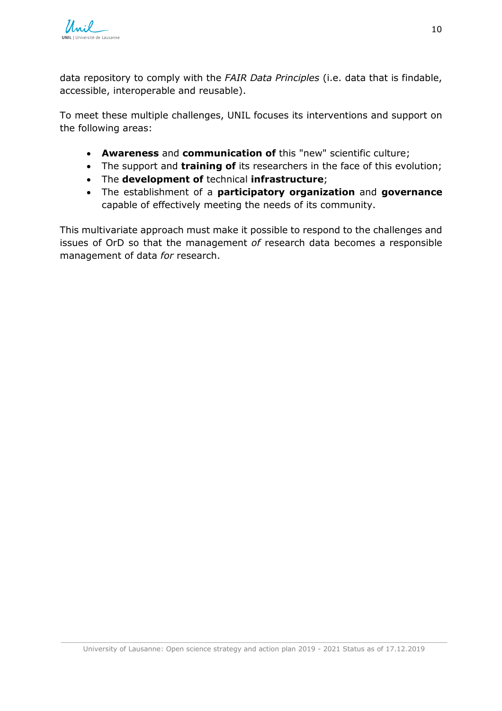

data repository to comply with the *FAIR Data Principles* (i.e. data that is findable, accessible, interoperable and reusable).

To meet these multiple challenges, UNIL focuses its interventions and support on the following areas:

- **Awareness** and **communication of** this "new" scientific culture;
- The support and **training of** its researchers in the face of this evolution;
- The **development of** technical **infrastructure**;
- The establishment of a **participatory organization** and **governance** capable of effectively meeting the needs of its community.

This multivariate approach must make it possible to respond to the challenges and issues of OrD so that the management *of* research data becomes a responsible management of data *for* research.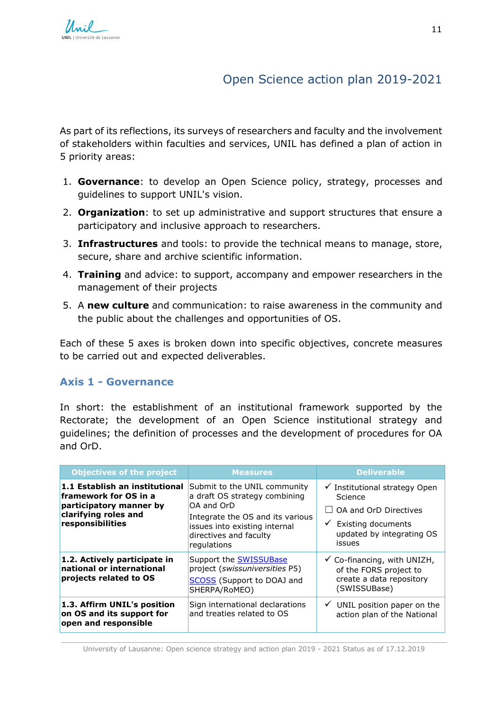# Open Science action plan 2019-2021

<span id="page-13-0"></span>As part of its reflections, its surveys of researchers and faculty and the involvement of stakeholders within faculties and services, UNIL has defined a plan of action in 5 priority areas:

- 1. **Governance**: to develop an Open Science policy, strategy, processes and guidelines to support UNIL's vision.
- 2. **Organization**: to set up administrative and support structures that ensure a participatory and inclusive approach to researchers.
- 3. **Infrastructures** and tools: to provide the technical means to manage, store, secure, share and archive scientific information.
- 4. **Training** and advice: to support, accompany and empower researchers in the management of their projects
- 5. A **new culture** and communication: to raise awareness in the community and the public about the challenges and opportunities of OS.

Each of these 5 axes is broken down into specific objectives, concrete measures to be carried out and expected deliverables.

#### <span id="page-13-1"></span>**Axis 1 - Governance**

In short: the establishment of an institutional framework supported by the Rectorate; the development of an Open Science institutional strategy and guidelines; the definition of processes and the development of procedures for OA and OrD.

| <b>Objectives of the project</b>                                                                                               | <b>Measures</b>                                                                                                                                                                           | <b>Deliverable</b>                                                                                                                                     |
|--------------------------------------------------------------------------------------------------------------------------------|-------------------------------------------------------------------------------------------------------------------------------------------------------------------------------------------|--------------------------------------------------------------------------------------------------------------------------------------------------------|
| 1.1 Establish an institutional<br>framework for OS in a<br>participatory manner by<br>clarifying roles and<br>responsibilities | Submit to the UNIL community<br>a draft OS strategy combining<br>OA and OrD<br>Integrate the OS and its various<br>issues into existing internal<br>directives and faculty<br>regulations | $\checkmark$ Institutional strategy Open<br>Science<br>OA and OrD Directives<br>$\checkmark$ Existing documents<br>updated by integrating OS<br>issues |
| 1.2. Actively participate in<br>national or international<br>projects related to OS                                            | Support the <b>SWISSUBase</b><br>project (swissuniversities P5)<br><b>SCOSS</b> (Support to DOAJ and<br>SHERPA/RoMEO)                                                                     | $\checkmark$ Co-financing, with UNIZH,<br>of the FORS project to<br>create a data repository<br>(SWISSUBase)                                           |
| 1.3. Affirm UNIL's position<br>on OS and its support for<br>open and responsible                                               | Sign international declarations<br>and treaties related to OS                                                                                                                             | UNIL position paper on the<br>✓<br>action plan of the National                                                                                         |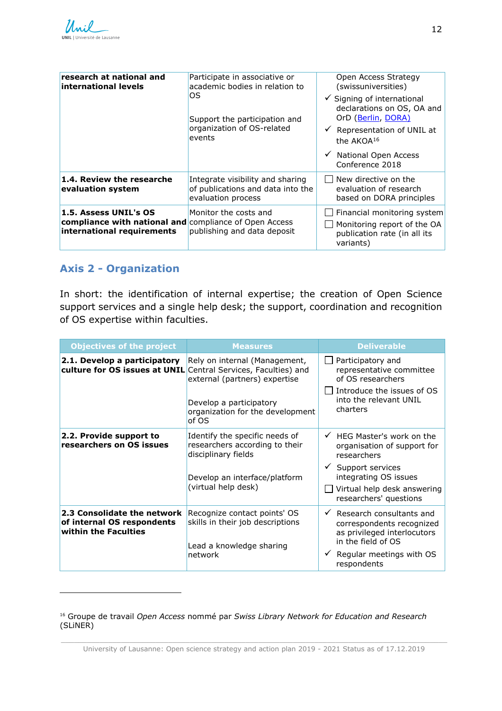| research at national and<br>international levels                                                              | Participate in associative or<br>academic bodies in relation to<br>OS<br>Support the participation and<br>organization of OS-related<br>events | Open Access Strategy<br>(swissuniversities)<br>$\checkmark$ Signing of international<br>declarations on OS, OA and<br>OrD (Berlin, DORA)<br>$\checkmark$ Representation of UNIL at<br>the AKOA <sup>16</sup><br>National Open Access<br>$\checkmark$<br>Conference 2018 |
|---------------------------------------------------------------------------------------------------------------|------------------------------------------------------------------------------------------------------------------------------------------------|-------------------------------------------------------------------------------------------------------------------------------------------------------------------------------------------------------------------------------------------------------------------------|
| 1.4. Review the researche<br>evaluation system                                                                | Integrate visibility and sharing<br>of publications and data into the<br>evaluation process                                                    | New directive on the<br>evaluation of research<br>based on DORA principles                                                                                                                                                                                              |
| 1.5. Assess UNIL's OS<br>compliance with national and compliance of Open Access<br>international requirements | Monitor the costs and<br>publishing and data deposit                                                                                           | Financial monitoring system<br>Monitoring report of the OA<br>publication rate (in all its<br>variants)                                                                                                                                                                 |

#### <span id="page-14-0"></span>**Axis 2 - Organization**

l

In short: the identification of internal expertise; the creation of Open Science support services and a single help desk; the support, coordination and recognition of OS expertise within faculties.

| <b>Objectives of the project</b>                                                               | <b>Measures</b>                                                                                                                                 | <b>Deliverable</b>                                                                                                                                                                           |
|------------------------------------------------------------------------------------------------|-------------------------------------------------------------------------------------------------------------------------------------------------|----------------------------------------------------------------------------------------------------------------------------------------------------------------------------------------------|
| 2.1. Develop a participatory<br>culture for OS issues at UNIL Central Services, Faculties) and | Rely on internal (Management,<br>external (partners) expertise<br>Develop a participatory<br>organization for the development<br>of OS          | Participatory and<br>representative committee<br>of OS researchers<br>Introduce the issues of OS<br>into the relevant UNIL<br>charters                                                       |
| 2.2. Provide support to<br>researchers on OS issues                                            | Identify the specific needs of<br>researchers according to their<br>disciplinary fields<br>Develop an interface/platform<br>(virtual help desk) | HEG Master's work on the<br>$\checkmark$<br>organisation of support for<br>researchers<br>Support services<br>integrating OS issues<br>Virtual help desk answering<br>researchers' questions |
| 2.3 Consolidate the network<br>of internal OS respondents<br>within the Faculties              | Recognize contact points' OS<br>skills in their job descriptions<br>Lead a knowledge sharing<br>network                                         | Research consultants and<br>$\checkmark$<br>correspondents recognized<br>as privileged interlocutors<br>in the field of OS<br>Regular meetings with OS<br>respondents                        |

<sup>16</sup> Groupe de travail *Open Access* nommé par *Swiss Library Network for Education and Research* (SLiNER)

\_\_\_\_\_\_\_\_\_\_\_\_\_\_\_\_\_\_\_\_\_\_\_\_\_\_\_\_\_\_\_\_\_\_\_\_\_\_\_\_\_\_\_\_\_\_\_\_\_\_\_\_\_\_\_\_\_\_\_\_\_\_\_\_\_\_\_\_\_\_\_\_\_\_\_\_\_\_\_\_\_\_\_\_\_\_\_\_\_\_ University of Lausanne: Open science strategy and action plan 2019 - 2021 Status as of 17.12.2019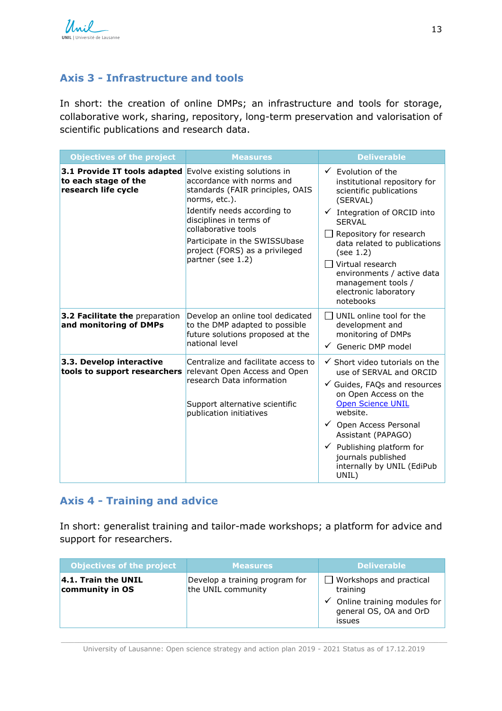### <span id="page-15-0"></span>**Axis 3 - Infrastructure and tools**

In short: the creation of online DMPs; an infrastructure and tools for storage, collaborative work, sharing, repository, long-term preservation and valorisation of scientific publications and research data.

| <b>Objectives of the project</b>                                            | <b>Measures</b>                                                                                                                                                                                                                                                                         | <b>Deliverable</b>                                                                                                                                                                                                                                                                                                                    |
|-----------------------------------------------------------------------------|-----------------------------------------------------------------------------------------------------------------------------------------------------------------------------------------------------------------------------------------------------------------------------------------|---------------------------------------------------------------------------------------------------------------------------------------------------------------------------------------------------------------------------------------------------------------------------------------------------------------------------------------|
| 3.1 Provide IT tools adapted<br>to each stage of the<br>research life cycle | Evolve existing solutions in<br>accordance with norms and<br>standards (FAIR principles, OAIS<br>norms, etc.).<br>Identify needs according to<br>disciplines in terms of<br>collaborative tools<br>Participate in the SWISSUbase<br>project (FORS) as a privileged<br>partner (see 1.2) | Evolution of the<br>institutional repository for<br>scientific publications<br>(SERVAL)<br>Integration of ORCID into<br><b>SERVAL</b><br>Repository for research<br>data related to publications<br>(see 1.2)<br>Virtual research<br>environments / active data<br>management tools /<br>electronic laboratory<br>notebooks           |
| 3.2 Facilitate the preparation<br>and monitoring of DMPs                    | Develop an online tool dedicated<br>to the DMP adapted to possible<br>future solutions proposed at the<br>national level                                                                                                                                                                | UNIL online tool for the<br>LΙ<br>development and<br>monitoring of DMPs<br>$\checkmark$<br>Generic DMP model                                                                                                                                                                                                                          |
| 3.3. Develop interactive<br>tools to support researchers                    | Centralize and facilitate access to<br>relevant Open Access and Open<br>research Data information<br>Support alternative scientific<br>publication initiatives                                                                                                                          | $\checkmark$ Short video tutorials on the<br>use of SERVAL and ORCID<br>$\checkmark$ Guides, FAQs and resources<br>on Open Access on the<br><b>Open Science UNIL</b><br>website.<br>✔ Open Access Personal<br>Assistant (PAPAGO)<br>$\checkmark$ Publishing platform for<br>journals published<br>internally by UNIL (EdiPub<br>UNIL) |

#### <span id="page-15-1"></span>**Axis 4 - Training and advice**

In short: generalist training and tailor-made workshops; a platform for advice and support for researchers.

| <b>Objectives of the project</b>           | <b>Measures</b>                                      | <b>Deliverable</b>                                                                                               |
|--------------------------------------------|------------------------------------------------------|------------------------------------------------------------------------------------------------------------------|
| $ 4.1$ . Train the UNIL<br>community in OS | Develop a training program for<br>the UNIL community | Workshops and practical<br>training<br>$\hat{ }$ Online training modules for<br>general OS, OA and OrD<br>issues |

\_\_\_\_\_\_\_\_\_\_\_\_\_\_\_\_\_\_\_\_\_\_\_\_\_\_\_\_\_\_\_\_\_\_\_\_\_\_\_\_\_\_\_\_\_\_\_\_\_\_\_\_\_\_\_\_\_\_\_\_\_\_\_\_\_\_\_\_\_\_\_\_\_\_\_\_\_\_\_\_\_\_\_\_\_\_\_\_\_\_ University of Lausanne: Open science strategy and action plan 2019 - 2021 Status as of 17.12.2019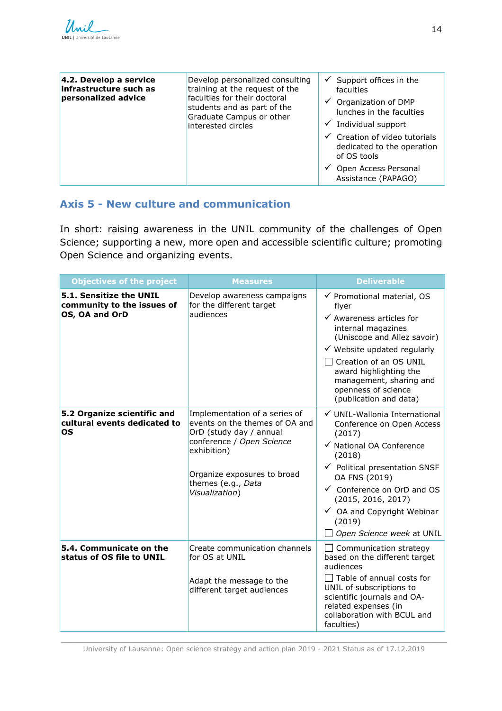| 4.2. Develop a service<br>infrastructure such as<br>personalized advice | Develop personalized consulting<br>training at the request of the<br>faculties for their doctoral<br>students and as part of the<br>Graduate Campus or other<br>interested circles | ✓<br>Support offices in the<br>faculties<br>Organization of DMP<br>✓<br>lunches in the faculties<br>Individual support |
|-------------------------------------------------------------------------|------------------------------------------------------------------------------------------------------------------------------------------------------------------------------------|------------------------------------------------------------------------------------------------------------------------|
|                                                                         |                                                                                                                                                                                    | Creation of video tutorials<br>dedicated to the operation<br>of OS tools                                               |
|                                                                         |                                                                                                                                                                                    | Open Access Personal<br>Assistance (PAPAGO)                                                                            |

## <span id="page-16-0"></span>**Axis 5 - New culture and communication**

In short: raising awareness in the UNIL community of the challenges of Open Science; supporting a new, more open and accessible scientific culture; promoting Open Science and organizing events.

| <b>Objectives of the project</b>                                        | <b>Measures</b>                                                                                                                                                                                               | <b>Deliverable</b>                                                                                                                                                                                                                                                                                        |
|-------------------------------------------------------------------------|---------------------------------------------------------------------------------------------------------------------------------------------------------------------------------------------------------------|-----------------------------------------------------------------------------------------------------------------------------------------------------------------------------------------------------------------------------------------------------------------------------------------------------------|
| 5.1. Sensitize the UNIL<br>community to the issues of<br>OS, OA and OrD | Develop awareness campaigns<br>for the different target<br>audiences                                                                                                                                          | √ Promotional material, OS<br>flyer<br>$\checkmark$ Awareness articles for<br>internal magazines<br>(Uniscope and Allez savoir)<br>$\checkmark$ Website updated regularly<br>Creation of an OS UNIL<br>award highlighting the<br>management, sharing and<br>openness of science<br>(publication and data) |
| 5.2 Organize scientific and<br>cultural events dedicated to<br>OS       | Implementation of a series of<br>events on the themes of OA and<br>OrD (study day / annual<br>conference / Open Science<br>exhibition)<br>Organize exposures to broad<br>themes (e.g., Data<br>Visualization) | √ UNIL-Wallonia International<br>Conference on Open Access<br>(2017)<br>√ National OA Conference<br>(2018)<br>$\checkmark$ Political presentation SNSF<br>OA FNS (2019)<br>← Conference on OrD and OS<br>(2015, 2016, 2017)<br>✓ OA and Copyright Webinar<br>(2019)<br>Open Science week at UNIL          |
| 5.4. Communicate on the<br>status of OS file to UNIL                    | Create communication channels<br>for OS at UNIL<br>Adapt the message to the<br>different target audiences                                                                                                     | Communication strategy<br>based on the different target<br>audiences<br>$\Box$ Table of annual costs for<br>UNIL of subscriptions to<br>scientific journals and OA-<br>related expenses (in<br>collaboration with BCUL and<br>faculties)                                                                  |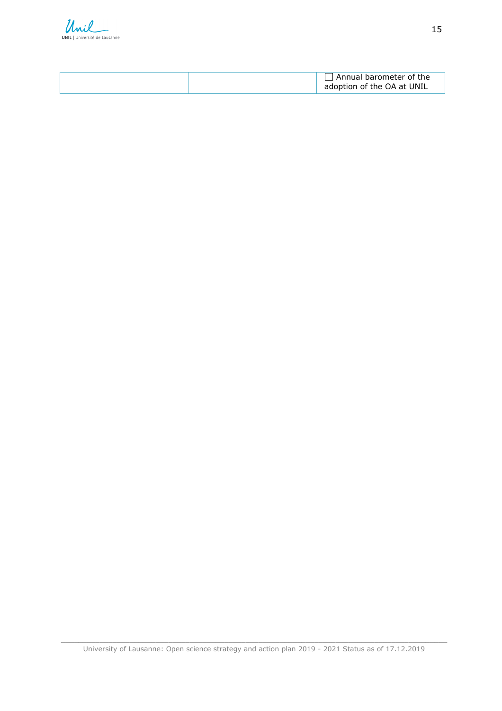

|  | Annual barometer of the<br>adoption of the OA at UNIL |
|--|-------------------------------------------------------|
|--|-------------------------------------------------------|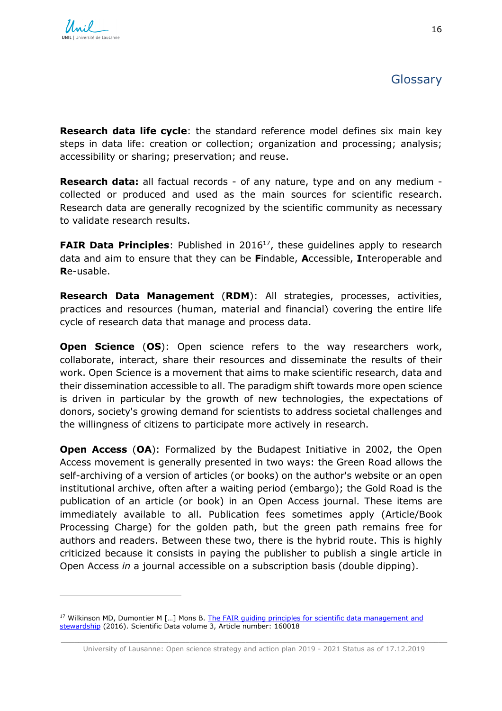1

<span id="page-18-0"></span>**Research data life cycle**: the standard reference model defines six main key steps in data life: creation or collection; organization and processing; analysis; accessibility or sharing; preservation; and reuse.

**Research data:** all factual records - of any nature, type and on any medium collected or produced and used as the main sources for scientific research. Research data are generally recognized by the scientific community as necessary to validate research results.

**FAIR Data Principles**: Published in 2016<sup>17</sup>, these guidelines apply to research data and aim to ensure that they can be **F**indable, **A**ccessible, **I**nteroperable and **R**e-usable.

**Research Data Management** (**RDM**): All strategies, processes, activities, practices and resources (human, material and financial) covering the entire life cycle of research data that manage and process data.

**Open Science** (**OS**): Open science refers to the way researchers work, collaborate, interact, share their resources and disseminate the results of their work. Open Science is a movement that aims to make scientific research, data and their dissemination accessible to all. The paradigm shift towards more open science is driven in particular by the growth of new technologies, the expectations of donors, society's growing demand for scientists to address societal challenges and the willingness of citizens to participate more actively in research.

**Open Access (OA):** Formalized by the Budapest Initiative in 2002, the Open Access movement is generally presented in two ways: the Green Road allows the self-archiving of a version of articles (or books) on the author's website or an open institutional archive, often after a waiting period (embargo); the Gold Road is the publication of an article (or book) in an Open Access journal. These items are immediately available to all. Publication fees sometimes apply (Article/Book Processing Charge) for the golden path, but the green path remains free for authors and readers. Between these two, there is the hybrid route. This is highly criticized because it consists in paying the publisher to publish a single article in Open Access *in* a journal accessible on a subscription basis (double dipping).

<sup>&</sup>lt;sup>17</sup> Wilkinson MD, Dumontier M [...] Mons B. The FAIR quiding principles for scientific data management and [stewardship](https://www.nature.com/articles/sdata201618) (2016). Scientific Data volume 3, Article number: 160018

\_\_\_\_\_\_\_\_\_\_\_\_\_\_\_\_\_\_\_\_\_\_\_\_\_\_\_\_\_\_\_\_\_\_\_\_\_\_\_\_\_\_\_\_\_\_\_\_\_\_\_\_\_\_\_\_\_\_\_\_\_\_\_\_\_\_\_\_\_\_\_\_\_\_\_\_\_\_\_\_\_\_\_\_\_\_\_\_\_\_ University of Lausanne: Open science strategy and action plan 2019 - 2021 Status as of 17.12.2019